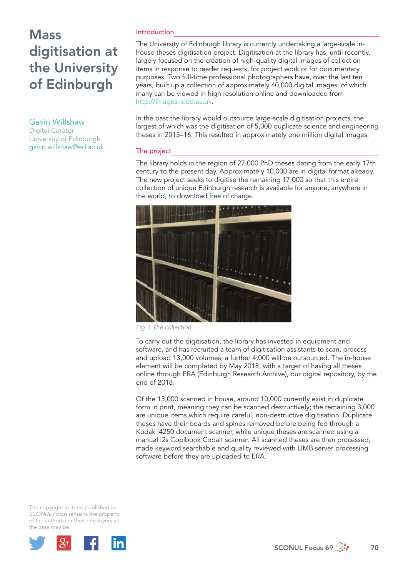# **Mass** digitisation at the University of Edinburgh

### Gavin Willshaw

Digital Curator University of Edinburgh gavin.willshaw@ed.ac.uk

#### Introduction

The University of Edinburgh library is currently undertaking a large-scale inhouse theses digitisation project. Digitisation at the library has, until recently, largely focused on the creation of high-quality digital images of collection items in response to reader requests, for project work or for documentary purposes. Two full-time professional photographers have, over the last ten years, built up a collection of approximately 40,000 digital images, of which many can be viewed in high resolution online and downloaded from http://images.is.ed.ac.uk.

In the past the library would outsource large-scale digitisation projects, the largest of which was the digitisation of 5,000 duplicate science and engineering theses in 2015–16. This resulted in approximately one million digital images.

### The project

The library holds in the region of 27,000 PhD theses dating from the early 17th century to the present day. Approximately 10,000 are in digital format already. The new project seeks to digitise the remaining 17,000 so that this entire collection of unique Edinburgh research is available for anyone, anywhere in the world, to download free of charge.



*Fig. 1 The collection*

To carry out the digitisation, the library has invested in equipment and software, and has recruited a team of digitisation assistants to scan, process and upload 13,000 volumes; a further 4,000 will be outsourced. The in-house element will be completed by May 2018, with a target of having all theses online through ERA (Edinburgh Research Archive), our digital repository, by the end of 2018.

Of the 13,000 scanned in house, around 10,000 currently exist in duplicate form in print, meaning they can be scanned destructively; the remaining 3,000 are unique items which require careful, non-destructive digitisation. Duplicate theses have their boards and spines removed before being fed through a Kodak i4250 document scanner, while unique theses are scanned using a manual i2s Copibook Cobalt scanner. All scanned theses are then processed, made keyword searchable and quality reviewed with LIMB server processing software before they are uploaded to ERA.

The copyright in items published in *SCONUL Focus* remains the property of the author(s) or their employers as the case may be.

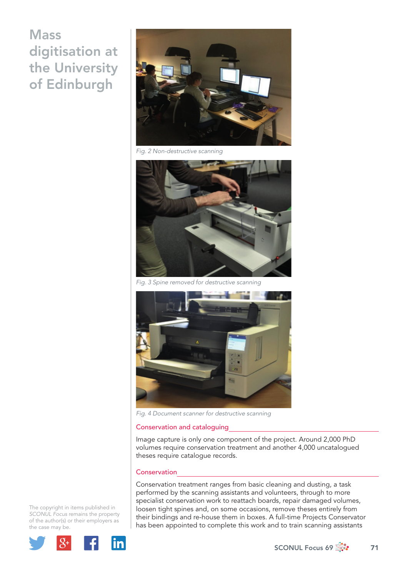# **Mass** digitisation at the University of Edinburgh



*Fig. 2 Non-destructive scanning*



*Fig. 3 Spine removed for destructive scanning*



*Fig. 4 Document scanner for destructive scanning*

#### Conservation and cataloguing

Image capture is only one component of the project. Around 2,000 PhD volumes require conservation treatment and another 4,000 uncatalogued theses require catalogue records.

#### **Conservation**

Conservation treatment ranges from basic cleaning and dusting, a task performed by the scanning assistants and volunteers, through to more specialist conservation work to reattach boards, repair damaged volumes, loosen tight spines and, on some occasions, remove theses entirely from their bindings and re-house them in boxes. A full-time Projects Conservator has been appointed to complete this work and to train scanning assistants

The copyright in items published in *SCONUL Focus* remains the property of the author(s) or their employers as the case may be.

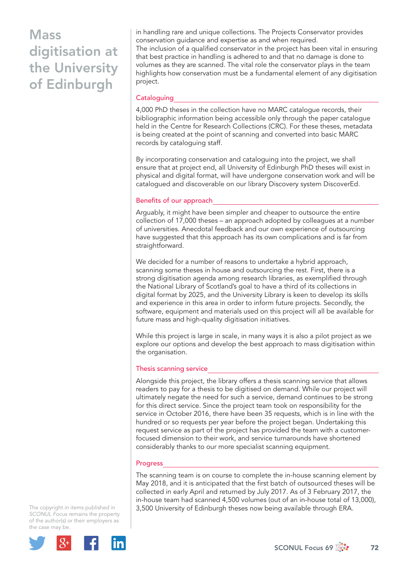# Mass digitisation at the University of Edinburgh

in handling rare and unique collections. The Projects Conservator provides conservation guidance and expertise as and when required. The inclusion of a qualified conservator in the project has been vital in ensuring that best practice in handling is adhered to and that no damage is done to volumes as they are scanned. The vital role the conservator plays in the team highlights how conservation must be a fundamental element of any digitisation project.

### **Cataloguing**

4,000 PhD theses in the collection have no MARC catalogue records, their bibliographic information being accessible only through the paper catalogue held in the Centre for Research Collections (CRC). For these theses, metadata is being created at the point of scanning and converted into basic MARC records by cataloguing staff.

By incorporating conservation and cataloguing into the project, we shall ensure that at project end, all University of Edinburgh PhD theses will exist in physical and digital format, will have undergone conservation work and will be catalogued and discoverable on our library Discovery system DiscoverEd.

#### Benefits of our approach

Arguably, it might have been simpler and cheaper to outsource the entire collection of 17,000 theses – an approach adopted by colleagues at a number of universities. Anecdotal feedback and our own experience of outsourcing have suggested that this approach has its own complications and is far from straightforward.

We decided for a number of reasons to undertake a hybrid approach, scanning some theses in house and outsourcing the rest. First, there is a strong digitisation agenda among research libraries, as exemplified through the National Library of Scotland's goal to have a third of its collections in digital format by 2025, and the University Library is keen to develop its skills and experience in this area in order to inform future projects. Secondly, the software, equipment and materials used on this project will all be available for future mass and high-quality digitisation initiatives.

While this project is large in scale, in many ways it is also a pilot project as we explore our options and develop the best approach to mass digitisation within the organisation.

#### Thesis scanning service

Alongside this project, the library offers a thesis scanning service that allows readers to pay for a thesis to be digitised on demand. While our project will ultimately negate the need for such a service, demand continues to be strong for this direct service. Since the project team took on responsibility for the service in October 2016, there have been 35 requests, which is in line with the hundred or so requests per year before the project began. Undertaking this request service as part of the project has provided the team with a customerfocused dimension to their work, and service turnarounds have shortened considerably thanks to our more specialist scanning equipment.

#### Progress

The scanning team is on course to complete the in-house scanning element by May 2018, and it is anticipated that the first batch of outsourced theses will be collected in early April and returned by July 2017. As of 3 February 2017, the in-house team had scanned 4,500 volumes (out of an in-house total of 13,000), 3,500 University of Edinburgh theses now being available through ERA.

The copyright in items published in *SCONUL Focus* remains the property of the author(s) or their employers as the case may be.